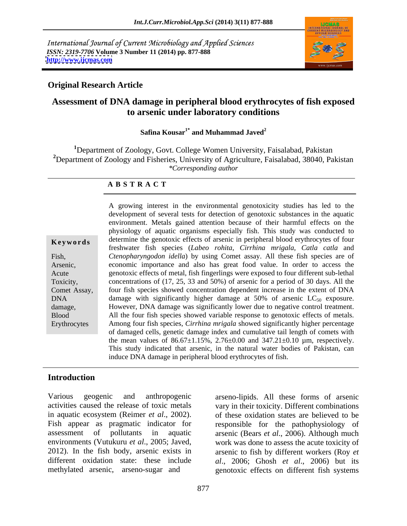International Journal of Current Microbiology and Applied Sciences *ISSN: 2319-7706* **Volume 3 Number 11 (2014) pp. 877-888 <http://www.ijcmas.com>**



## **Original Research Article**

# **Assessment of DNA damage in peripheral blood erythrocytes of fish exposed to arsenic under laboratory conditions**

## ${\bf S}$ afina  ${\bf K}$ ousar $^{1^*}$  and  ${\bf M}$ uhammad  ${\bf J}$ aved $^{2}$  **and Muhammad Javed<sup>2</sup>**

**<sup>1</sup>**Department of Zoology, Govt. College Women University, Faisalabad, Pakistan **<sup>2</sup>**Department of Zoology and Fisheries, University of Agriculture, Faisalabad, 38040, Pakistan *\*Corresponding author*

## **A B S T R A C T**

| Keywords                |
|-------------------------|
| Fish,                   |
| Arsenic,<br>Acute       |
| Toxicity,               |
| Comet Assay,            |
| <b>DNA</b>              |
| damage,<br><b>Blood</b> |
| Erythrocytes            |
|                         |

**Keywords** determine the genotoxic effects of arsenic in peripheral blood erythrocytes of four Fish, Ctenopharyngodon *idella*) by using Comet assay. All these fish species are of Arsenic, economic importance and also has great food value. In order to access the Acute genotoxic effects of metal, fish fingerlings were exposed to four different sub-lethal Toxicity, concentrations of (17, 25, 33 and 50%) of arsenic for a period of 30 days. All the Comet Assay, four fish species showed concentration dependent increase in the extent of DNA DNA damage with significantly higher damage at  $50\%$  of arsenic  $LC_{50}$  exposure. damage, However, DNA damage was significantly lower due to negative control treatment. Blood All the four fish species showed variable response to genotoxic effects of metals. Erythrocytes Among four fish species, *Cirrhina mrigala* showed significantly higher percentage A growing interest in the environmental genotoxicity studies has led to the development of several tests for detection of genotoxic substances in the aquatic environment. Metals gained attention because of their harmful effects on the physiology of aquatic organisms especially fish. This study was conducted to freshwater fish species (*Labeo rohita*, *Cirrhina mrigala*, *Catla catla* and of damaged cells, genetic damage index and cumulative tail length of comets with the mean values of  $86.67 \pm 1.15\%$ ,  $2.76 \pm 0.00$  and  $347.21 \pm 0.10$  µm, respectively. This study indicated that arsenic, in the natural water bodies of Pakistan, can induce DNA damage in peripheral blood erythrocytes of fish.

## **Introduction**

Various geogenic and anthropogenic arseno-lipids. All these forms of arsenic activities caused the release of toxic metals vary in their toxicity. Different combinations in aquatic ecosystem (Reimer *et al*., 2002). of these oxidation states are believed to be Fish appear as pragmatic indicator for responsible for the pathophysiology of assessment of pollutants in aquatic arsenic (Bears *et al*., 2006). Although much environments (Vutukuru *et al*., 2005; Javed, work was done to assess the acute toxicity of 2012). In the fish body, arsenic exists in arsenic to fish by different workers (Roy *et*  different oxidation state: these include *al*., 2006; Ghosh *et al*., 2006) but its

methylated arsenic, arseno-sugar and genotoxic effects on different fish systems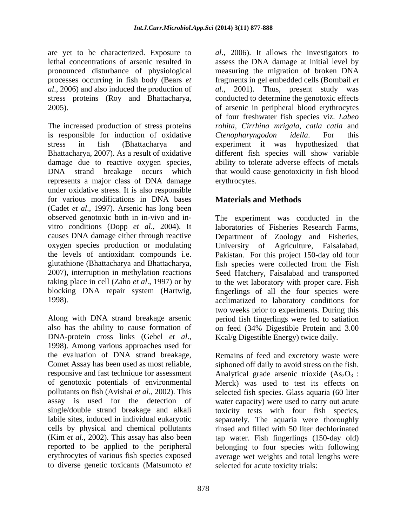are yet to be characterized. Exposure to *al*., 2006). It allows the investigators to pronounced disturbance of physiological stress proteins (Roy and Bhattacharya,

is responsible for induction of oxidative Ctenopharyngodon idella. For this represents a major class of DNA damage under oxidative stress. It is also responsible for various modifications in DNA bases (Cadet *et al.*, 1997). Arsenic has long been observed genotoxic both in in-vivo and inobserved genotoxic both in in-vivo and in- The experiment was conducted in the vitro conditions (Dopp *et al*., 2004). It causes DNA damage either through reactive Department of Zoology and Fisheries, oxygen species production or modulating University of Agriculture, Faisalabad, the levels of antioxidant compounds i.e. Pakistan. For this project 150-day old four glutathione (Bhattacharya and Bhattacharya, fish species were collected from the Fish 2007), interruption in methylation reactions Seed Hatchery, Faisalabad and transported taking place in cell (Zaho *et al*., 1997) or by to the wet laboratory with proper care. Fish blocking DNA repair system (Hartwig, fingerlings of all the four species were

DNA-protein cross links (Gebel *et al*., 1998). Among various approaches used for the evaluation of DNA strand breakage, Remains of feed and excretory waste were of genotoxic potentials of environmental pollutants on fish (Avishai *et al*., 2002). This to diverse genetic toxicants (Matsumoto *et* 

lethal concentrations of arsenic resulted in assess the DNA damage at initial level by processes occurring in fish body (Bears *et*  fragments in gel embedded cells (Bombail *et al*., 2006) and also induced the production of *al*., 2001). Thus, present study was 2005). of arsenic in peripheral blood erythrocytes The increased production of stress proteins *rohita*, *Cirrhina mrigala*, *catla catla* and stress in fish (Bhattacharya and experiment it was hypothesized that Bhattacharya, 2007). As a result of oxidative different fish species will show variable damage due to reactive oxygen species, ability to tolerate adverse effects of metals DNA strand breakage occurs which that would cause genotoxicity in fish blood measuring the migration of broken DNA conducted to determine the genotoxic effects of four freshwater fish species viz. *Labeo Ctenopharyngodon idella*. For this erythrocytes.

# **Materials and Methods**

1998). acclimatized to laboratory conditions for Along with DNA strand breakage arsenic period fish fingerlings were fed to satiation also has the ability to cause formation of on feed (34% Digestible Protein and 3.00 laboratories of Fisheries Research Farms, University of Agriculture, Faisalabad, two weeks prior to experiments. During this Kcal/g Digestible Energy) twice daily.

Comet Assay has been used as most reliable, siphoned off daily to avoid stress on the fish. responsive and fast technique for assessment  $\blacksquare$  Analytical grade arsenic trioxide  $(As_2O_3:$ assay is used for the detection of water capacity) were used to carry out acute single/double strand breakage and alkali toxicity tests with four fish species, labile sites, induced in individual eukaryotic separately. The aquaria were thoroughly cells by physical and chemical pollutants rinsed and filled with 50 liter dechlorinated (Kim *et al*., 2002). This assay has also been tap water. Fish fingerlings (150-day old) reported to be applied to the peripheral belonging to four species with following erythrocytes of various fish species exposed average wet weights and total lengths were Merck) was used to test its effects on selected fish species. Glass aquaria (60 liter selected for acute toxicity trials: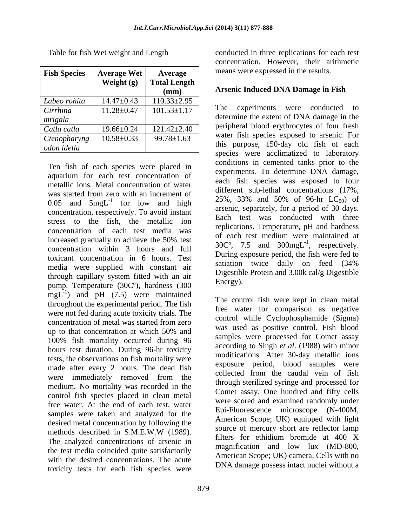| <b>Fish Species</b> | <b>Average Wet</b> | Average                | means were expressed in the results.                                             |
|---------------------|--------------------|------------------------|----------------------------------------------------------------------------------|
|                     | Weight (g)         | Total Length  <br>(mm) | <b>Arsenic Induced DNA Damage in Fish</b>                                        |
| Labeo rohita        | $14.47 \pm 0.43$   | $110.33 \pm 2.95$      |                                                                                  |
| Cirrhina            | $11.28 \pm 0.47$   | $101.53 \pm 1.17$      | The experiments were conducted to                                                |
| mrigala             |                    |                        | determine the extent of DNA damage in the                                        |
| Catla catla         | $19.66 \pm 0.24$   | $121.42 \pm 2.40$      | peripheral blood erythrocytes of four fresh                                      |
| Ctenopharyng        | $10.58 \pm 0.33$   | $99.78 \pm 1.63$       | water fish species exposed to arsenic. For                                       |
| odon idella         |                    |                        | this purpose, 150-day old fish of each<br>mogica ware coolimatized to lehometery |

Ten fish of each species were placed in aquarium for each test concentration of metallic ions. Metal concentration of water was started from zero with an increment of  $0.05$  and  $5$ mgL<sup>-1</sup> for low and high concentration, respectively. To avoid instant stress to the fish, the metallic ion concentration of each test media was increased gradually to achieve the 50% test concentration within 3 hours and full toxicant concentration in 6 hours. Test<br>satiation twice daily on feed (34%) media were supplied with constant air through capillary system fitted with an air<br> $\frac{D_{\text{H}}}{D_{\text{H}}}\text{Energy}$ . pump. Temperature (30Cº), hardness (300  $\text{mgL}^{-1}$ ) and pH (7.5) were maintained throughout the experimental period. The fish were not fed during acute toxicity trials. The concentration of metal was started from zero<br> $\frac{\text{count of metal}}{\text{mean}}$  as resulting social. Fight like is up to that concentration at which 50% and<br>example was used as positive control. That provide 100% fish mortality occurred during 96 hours test duration. During 96-hr toxicity tests, the observations on fish mortality were made after every 2 hours. The dead fish were immediately removed from the medium. No mortality was recorded in the control fish species placed in clean metal free water. At the end of each test, water were scored and examined randomly under<br>Epi-Fluorescence microscope (N-400M, samples were taken and analyzed for the Epi-Findescence inicroscope (N-400M,<br>desired metal concentration by following the American Scope; UK) equipped with light desired metal concentration by following the methods described in S.M.E.W.W (1989). Source of mercury short are reflected family The analyzed concentrations of arsenic in  $\frac{1}{2}$  filters for ethidium bromide at 400 X the test media coincided quite satisfactorily with the desired concentrations. The acute toxicity tests for each fish species were

Table for fish Wet weight and Length conducted in three replications for each test concentration. However, their arithmetic

# **(mm) Arsenic Induced DNA Damage in Fish**

 $11.28\pm0.47$  101.53 $\pm$ 1.17 1.11 1.12 experiments were conducted to  $10.58\pm0.33$  99.78 $\pm1.63$  water usin species exposed to alseme. For 25%, 33% and 50% of 96-hr  $LC_{50}$  of for low and high  $25\%$ ,  $35\%$  and  $30\%$  or  $50\text{-}$ m LC<sub>50</sub>) or peripheral blood erythrocytes of four fresh water fish species exposed to arsenic. For this purpose, 150-day old fish of each species were acclimatized to laboratory conditions in cemented tanks prior to the experiments. To determine DNA damage, each fish species was exposed to four different sub-lethal concentrations (17%, 25%, 33% and 50% of 96-hr  $LC_{50}$  of arsenic, separately, for a period of 30 days. Each test was conducted with three replications. Temperature, pH and hardness of each test medium were maintained at  $30^{\circ}$ , 7.5 and  $300 \text{mgL}^{-1}$ , respectively.  $^{-1}$  representively During exposure period, the fish were fed to satiation twice daily on feed (34% Digestible Protein and 3.00k cal/g Digestible Energy).

The control fish were kept in clean metal free water for comparison as negative control while Cyclophosphamide (Sigma) was used as positive control. Fish blood samples were processed for Comet assay according to Singh *et al*. (1988) with minor modifications. After 30-day metallic ions exposure period, blood samples were collected from the caudal vein of fish through sterilized syringe and processed for Comet assay. One hundred and fifty cells were scored and examined randomly under Epi-Fluorescence microscope (N-400M, American Scope; UK) equipped with light source of mercury short are reflector lamp filters for ethidium bromide at 400 X magnification and low lux (MD-800, American Scope; UK) camera. Cells with no DNA damage possess intact nuclei without a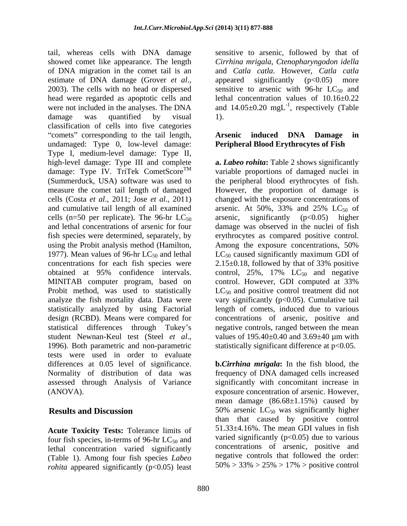tail, whereas cells with DNA damage sensitive to arsenic, followed by that of showed comet like appearance. The length of DNA migration in the comet tail is an and *Catla catla*. However, *Catla catla* estimate of DNA damage (Grover *et al.*, appeared significantly (p<0.05) more 2003). The cells with no head or dispersed sensitive to arsenic with 96-hr LC<sub>50</sub> and head were regarded as apoptotic cells and lethal concentration values of 10.16±0.22 were not included in the analyses. The DNA and  $14.05\pm0.20$  mgL<sup>-1</sup>, respectively (Table damage was quantified by visual 1). classification of cells into five categories "comets" corresponding to the tail length, **Arsenic induced DNA Damage in** undamaged: Type 0, low-level damage: Type I, medium-level damage: Type II, high-level damage: Type III and complete **a.** *Labeo rohita***:** Table 2 shows significantly damage: Type IV. TriTek CometScore<sup>TM</sup> (Summerduck, USA) software was used to the peripheral blood erythrocytes of fish. measure the comet tail length of damaged However, the proportion of damage is cells (Costa *et al*., 2011; Jose *et al*., 2011) changed with the exposure concentrations of and cumulative tail length of all examined arsenic. At  $50\%$ ,  $33\%$  and  $25\%$  LC<sub>50</sub> of cells (n=50 per replicate). The 96-hr  $LC_{50}$  arsenic, significantly (p<0.05) higher and lethal concentrations of arsenic for four damage was observed in the nuclei of fish and lethal concentrations of arsenic for four damage was observed in the nuclei of fish fish species were determined, separately, by erythrocytes as compared positive control. using the Probit analysis method (Hamilton, Among the exposure concentrations, 50%) 1977). Mean values of 96-hr  $LC_{50}$  and lethal  $LC_{50}$  caused significantly maximum GDI of concentrations for each fish species were  $2.15 \pm 0.18$ , followed by that of 33% positive obtained at 95% confidence intervals. control,  $25\%$ ,  $17\%$   $LC_{50}$  and negative MINITAB computer program, based on control. However, GDI computed at 33% Probit method, was used to statistically  $LC_{50}$  and positive control treatment did not analyze the fish mortality data. Data were vary significantly (p<0.05). Cumulative tail statistically analyzed by using Factorial design (RCBD). Means were compared for concentrations of arsenic, positive and statistical differences through Tukey's negative controls, ranged between the mean student Newnan-Keul test (Steel *et al.*, values of 195.40±0.40 and 3.69±40 µm with 1996). Both parametric and non-parametric statistically significant difference at p<0.05. tests were used in order to evaluate differences at 0.05 level of significance. **b.***Cirrhina mrigala***:** In the fish blood, the Normality of distribution of data was frequency of DNA damaged cells increased assessed through Analysis of Variance

**Acute Toxicity Tests:** Tolerance limits of four fish species, in-terms of 96-hr  $LC_{50}$  and lethal concentration varied significantly (Table 1). Among four fish species *Labeo* negative controls that followed the order:<br>rokita anneared significantly  $(n/0.05)$  least  $50\% > 33\% > 25\% > 17\%$  > positive control *rohita* appeared significantly (p<0.05) least

*Cirrhina mrigala*, *Ctenopharyngodon idella* appeared significantly  $(p<0.05)$  more sensitive to arsenic with 96-hr  $LC_{50}$  and , respectively (Table 1).

## **Arsenic induced DNA Damage in Peripheral Blood Erythrocytes of Fish**

TM variable proportions of damaged nuclei in arsenic. At 50%, 33% and 25%  $LC_{50}$  of arsenic, significantly (p<0.05) higher Among the exposure concentrations, 50% 2.15±0.18, followed by that of 33% positive control. However, GDI computed at 33% length of comets, induced due to various values of 195.40±0.40 and 3.69±40 µm with statistically significant difference at  $p<0.05$ .

(ANOVA). exposure concentration of arsenic. However, **Results and Discussion** 50% arsenic LC<sub>50</sub> was significantly higher significantly with concomitant increase in mean damage  $(86.68\pm1.15\%)$  caused by than that caused by positive control 51.33±4.16%. The mean GDI values in fish varied significantly  $(p<0.05)$  due to various concentrations of arsenic, positive and negative controls that followed the order: 50% > 33% > 25% > 17% > positive control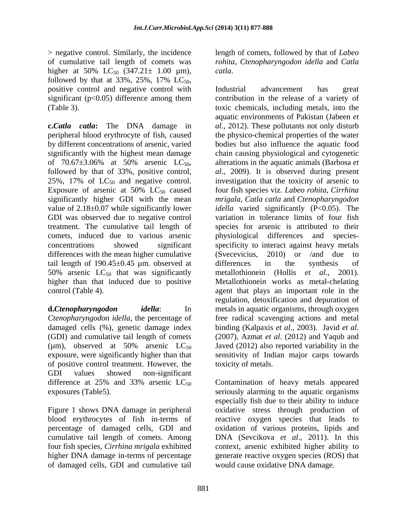> negative control. Similarly, the incidence length of comets, followed by that of *Labeo*  of cumulative tail length of comets was *rohita*, *Ctenopharyngodon idella* and *Catla*  higher at 50% LC<sub>50</sub>  $(347.21 \pm 1.00 \mu m)$ , *catla.* followed by that at 33%, 25%, 17%  $LC_{50}$ ,<br>positive control and negative control with Industrial advancement has great

25%, 17% of  $LC_{50}$  and negative control. Exposure of arsenic at  $50\%$  LC<sub>50</sub> caused significantly higher GDI with the mean treatment. The cumulative tail length of differences with the mean higher cumulative (Svecevicius, 2010) or /and due to tail length of  $190.45 \pm 0.45$  µm. observed at differences in the synthesis of 50% arsenic  $LC_{50}$  that was significantly metallothionein (Hollis *et al.*, 2001).<br>higher than that induced due to positive Metallothionein works as metal-chelating

damaged cells (%), genetic damage index binding (Kalpaxis et al., 2003). Javid et al. (GDI) and cumulative tail length of comets (2007), Azmat et al. (2012) and Yaqub and of positive control treatment. However, the GDI values showed non-significant

cumulative tail length of comets. Among higher DNA damage in-terms of percentage of damaged cells, GDI and cumulative tail *catla*.

significant (p<0.05) difference among them contribution in the release of a variety of (Table 3). toxic chemicals, including metals, into the **c.***Catla catla***:** The DNA damage in *al*., 2012). These pollutants not only disturb peripheral blood erythrocyte of fish, caused the physico-chemical properties of the water by different concentrations of arsenic, varied bodies but also influence the aquatic food significantly with the highest mean damage chain causing physiological and cytogenetic of 70.67 $\pm$ 3.06% at 50% arsenic LC<sub>50</sub>, alterations in the aquatic animals (Barbosa *et* followed by that of 33%, positive control, al., 2009). It is observed during present significantly higher GDI with the mean *mrigala*, *Catla catla* and *Ctenopharyngodon*  value of 2.18±0.07 while significantly lower *idella* varied significantly (P<0.05). The GDI was observed due to negative control variation in tolerance limits of four fish comets, induced due to various arsenic physiological differences and species concentrations showed significant specificity to interact against heavy metals higher than that induced due to positive Metallothionein works as metal-chelating control (Table 4). agent that plays an important role in the **d.***Ctenopharyngodon idella*: In metals in aquatic organisms, through oxygen *Ctenopharyngodon idella*, the percentage of free radical scavenging actions and metal ( $\mu$ m), observed at 50% arsenic  $LC_{50}$  Javed (2012) also reported variability in the exposure, were significantly higher than that sensitivity of Indian major carps towards Industrial advancement has great aquatic environments of Pakistan (Jabeen *et*  alterations in the aquatic animals (Barbosa *et al*., 2009). It is observed during present investigation that the toxicity of arsenic to four fish species viz. *Labeo rohita*, *Cirrhina*  species for arsenic is attributed to their (Svecevicius, 2010) or /and due to differences in the synthesis of metallothionein (Hollis *et al.*, regulation, detoxification and depuration of binding (Kalpaxis *et al*., 2003). Javid *et al*. (2007), Azmat *et al*. (2012) and Yaqub and toxicity of metals.

difference at 25% and 33% arsenic  $LC_{50}$  Contamination of heavy metals appeared exposures (Table5). seriously alarming to the aquatic organisms Figure 1 shows DNA damage in peripheral oxidative stress through production of blood erythrocytes of fish in-terms of reactive oxygen species that leads to percentage of damaged cells, GDI and oxidation of various proteins, lipids and four fish species, *Cirrhina mrigala* exhibited context, arsenic exhibited higher ability to especially fish due to their ability to induce DNA (Sevcikova *et al*., 2011). In this generate reactive oxygen species (ROS) that would cause oxidative DNA damage.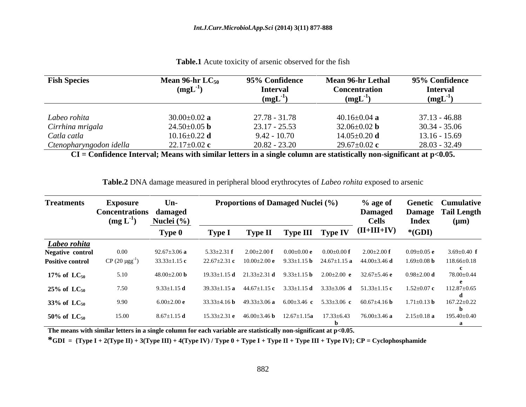| <b>Fish Species</b>     | <b>Mean 96-hr <math>LC_{50}</math></b><br>$(mgL^{-1})$ | 95% Confidence<br><b>Interval</b><br>$(mgL^{-1})$ | <b>Mean 96-hr Lethal</b><br>Concentration<br>$(mgL-1)$ | 95% Confidence<br><b>Interval</b><br>(mgL) |
|-------------------------|--------------------------------------------------------|---------------------------------------------------|--------------------------------------------------------|--------------------------------------------|
| Labeo rohita            | $30.00 \pm 0.02$ a                                     | $27.78 - 31.78$                                   | 40.16 $\pm$ 0.04 a                                     | $37.13 - 46.88$                            |
| Cirrhina mrigala        | $24.50 \pm 0.05$ <b>b</b>                              | $23.17 - 25.53$                                   | 32.06 $\pm$ 0.02 <b>b</b>                              | $30.34 - 35.06$                            |
| Catla catla             | $10.16 \pm 0.22$ d                                     | $9.42 - 10.70$                                    | $14.05 \pm 0.20$ d                                     | $13.16 - 15.69$                            |
| Ctenopharyngodon idella | $22.17 \pm 0.02$ c                                     | $20.82 - 23.20$                                   | $29.67 \pm 0.02$ c                                     | 28.03 - 32.49                              |

**Table.1** Acute toxicity of arsenic observed for the fish

**CI = Confidence Interval; Means with similar letters in a single column are statistically non-significant at p<0.05.**

| <b>Treatments</b>          | Exposure                                              | $Un-$              |                     | <b>Proportions of Damaged Nuclei (%)</b> |                          |                                                                           | % age of                                                                                      |                   | <b>Genetic Cumulative</b>       |
|----------------------------|-------------------------------------------------------|--------------------|---------------------|------------------------------------------|--------------------------|---------------------------------------------------------------------------|-----------------------------------------------------------------------------------------------|-------------------|---------------------------------|
|                            | <b>Concentrations damaged</b><br>$(\text{mg L}^{-1})$ | Nuclei (%)         |                     |                                          |                          |                                                                           | <b>Damaged</b><br>Cells                                                                       | <b>Index</b>      | Damage Tail Length<br>$(\mu m)$ |
|                            |                                                       | Type 0             | <b>Type 1</b>       |                                          |                          |                                                                           | Type II Type III Type IV (II+III+IV) *(GDI)                                                   |                   |                                 |
| Labeo rohita               |                                                       |                    |                     |                                          |                          |                                                                           |                                                                                               |                   |                                 |
| Negative control           | $0.00\,$                                              | $92.67 + 3.06$ a   | - 5.33+2.31         | $2.00 \pm 2.00$ f                        | $(0.00 + 0.00e$          | $0.00 \pm 0.00$ f                                                         | $2.00\pm2.00$ f                                                                               | $0.09 \pm 0.05$ e | 3.69 $\pm$ 0.40 f               |
| <b>Positive control</b>    | CP $(20 \mu\text{gg}^{-1})$                           | $33.33 \pm 1.15$ c |                     |                                          |                          |                                                                           | $22.67 \pm 2.31$ c $10.00 \pm 2.00$ e $9.33 \pm 1.15$ b $24.67 \pm 1.15$ a $44.00 \pm 3.46$ d | $1.69 \pm 0.08$ b | $118.66 \pm 0.18$               |
|                            |                                                       |                    |                     |                                          |                          |                                                                           |                                                                                               |                   |                                 |
| 17% of $LC_{50}$           | 5.10                                                  | $48.00+2.00$ b     |                     | $19.33 \pm 1.15$ d $21.33 \pm 2.31$ d    | 9.33 $\pm$ 1.15 <b>b</b> |                                                                           | $2.00\pm2.00$ e 32.67 $\pm$ 5.46 e                                                            | $0.98 \pm 2.00$ d | 78.00±0.44                      |
| $25\%$ of LC <sub>50</sub> | 7.50                                                  | $9.33 \pm 1.15$ d  |                     |                                          |                          | $39.33 \pm 1.15$ a $44.67 \pm 1.15$ c $3.33 \pm 1.15$ d $3.33 \pm 3.06$ d | 51.33 $\pm$ 1.15 c                                                                            | $1.52 \pm 0.07$ c | $112.87 \pm 0.65$               |
|                            |                                                       |                    |                     |                                          |                          |                                                                           |                                                                                               |                   |                                 |
| 33% of $LC_{50}$           | 9.90                                                  | 600+200            | 33.33+4.16 <b>b</b> |                                          |                          | $49.33\pm3.06$ a $6.00\pm3.46$ c $5.33\pm3.06$ c                          | 60.67 $\pm$ 4.16 b                                                                            | $1.71 \pm 0.13$ b | $167.22 \pm 0.22$               |
| 50% of $LC_{50}$           | 15.00                                                 |                    | LS 33+2             | $46.00 + 3.46$ b                         | $12.67 \pm 1.15$ a       | 17.33±6.43                                                                | 76.00±3.46 <b>a</b>                                                                           | $2.15 \pm 0.18$ a | 195.40±0.40                     |
|                            |                                                       |                    |                     |                                          |                          |                                                                           |                                                                                               |                   |                                 |

**Table.2** DNA damage measured in peripheral blood erythrocytes of *Labeo rohita* exposed to arsenic

**The means with similar letters in a single column for each variable are statistically non-significant at p<0.05.**

\*GDI =  $\{Type I + 2(Type II) + 3(Type III) + 4(Type IV) / Type 0 + Type II + Type II + Type III + Type IV\}; CP = Cyclophosphamide$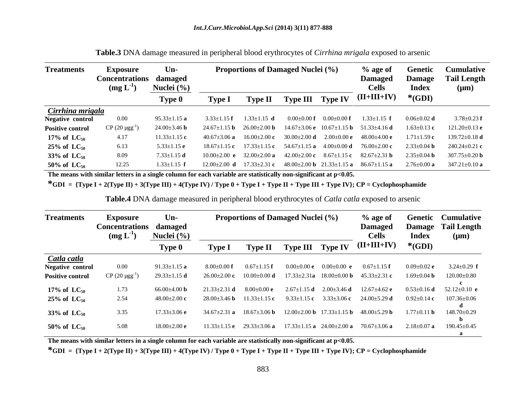| <b>Treatments</b>                           | <b>Exposure</b><br>Concentrations damaged | $Un-$                |                 | <b>Proportions of Damaged Nuclei (%)</b> |                   |                 | % age of<br>Damaged                                                  |                 | <b>Genetic Cumulative</b><br>Damage Tail Length                                                                                      |
|---------------------------------------------|-------------------------------------------|----------------------|-----------------|------------------------------------------|-------------------|-----------------|----------------------------------------------------------------------|-----------------|--------------------------------------------------------------------------------------------------------------------------------------|
|                                             | $(mg L^{-1})$                             | Nuclei (%)<br>Type 0 | <b>Type 1</b>   |                                          |                   |                 | <b>Cells</b><br><b>Type II Type III Type IV</b> $(II+III+IV)$ *(GDI) | <b>Index</b>    | $(\mu m)$                                                                                                                            |
|                                             |                                           |                      |                 |                                          |                   |                 |                                                                      |                 |                                                                                                                                      |
| <b>Cirrhina mrigala</b><br>Negative control | $0.00\,$                                  | $95.33 + 1.15$ a     | $3.33 + 1.15$ f | $1.33 \pm 1.15$ d                        | $(0.00)(+0.00)$ f | $(0.00+0.00)$ f | $1.33 \pm 1.15$ f                                                    | $0.06 + 0.02$ d | $3.78 \pm 0.23$ f                                                                                                                    |
| <b>Positive control</b>                     | CP $(20 \mu gg^{-1})$                     | $24.00 + 3.46$ b     |                 |                                          |                   |                 |                                                                      |                 | $24.67 \pm 1.15$ b $26.00 \pm 2.00$ b $14.67 \pm 3.06$ e $10.67 \pm 1.15$ b $51.33 \pm 4.16$ d $1.63 \pm 0.13$ c $121.20 \pm 0.13$ e |
| 17% of $LC_{50}$                            | 4.17                                      | $11.33 \pm 1.15$ c   |                 |                                          |                   |                 |                                                                      |                 | $40.67\pm3.06$ a $16.00\pm2.00$ c $30.00\pm2.00$ d $2.00\pm0.00$ e $48.00\pm4.00$ e $1.71\pm1.59$ c $139.72\pm0.18$ d                |
| $25\%$ of $LC_{50}$                         | 6.13                                      | $5.33 \pm 1.15$ e    |                 |                                          |                   |                 |                                                                      |                 | $18.67 \pm 1.15$ c $17.33 \pm 1.15$ c $54.67 \pm 1.15$ a $4.00 \pm 0.00$ d $76.00 \pm 2.00$ c $2.33 \pm 0.04$ b $240.24 \pm 0.21$ c  |
| 33% of $LC_{50}$                            | 8.09                                      | $7.33 \pm 1.15$ d    |                 |                                          |                   |                 |                                                                      |                 | $10.00\pm2.00$ e $32.00\pm2.00$ a $42.00\pm2.00$ c $8.67\pm1.15$ c $82.67\pm2.31$ b $2.35\pm0.04$ b $307.75\pm0.20$ b                |
| 50% of $LC_{50}$                            | 12.25                                     | $1.33 \pm 1.15$ f    |                 |                                          |                   |                 |                                                                      |                 | $12.00 \pm 2.00$ d $17.33 \pm 2.31$ c $48.00 \pm 2.00$ b $21.33 \pm 1.15$ a $86.67 \pm 1.15$ a $2.76 \pm 0.00$ a $347.21 \pm 0.10$ a |

**Table.3** DNA damage measured in peripheral blood erythrocytes of *Cirrhina mrigala* exposed to arsenic

**The means with similar letters in a single column for each variable are statistically non-significant at p<0.05.**

**\*GDI = {Type I + 2(Type II) + 3(Type III) + 4(Type IV) / Type 0 + Type I + Type II + Type III + Type IV}; CP = Cyclophosphamide**

**Table.4** DNA damage measured in peripheral blood erythrocytes of *Catla catla* exposed to arsenic

| <b>Treatments</b>       | Exposure<br>Concentrations damaged<br>$(mg L^{-1})$ | $Un-$<br>Nuclei (%) |                  | <b>Proportions of Damaged Nuclei (%)</b> |                   |                                 | $%$ age of<br><b>Damaged</b><br><b>Cells</b>                                                         | <b>Index</b>      | <b>Genetic Cumulative</b><br>Damage Tail Length<br>$(\mu m)$ |
|-------------------------|-----------------------------------------------------|---------------------|------------------|------------------------------------------|-------------------|---------------------------------|------------------------------------------------------------------------------------------------------|-------------------|--------------------------------------------------------------|
|                         |                                                     | <b>Type 0</b>       | <b>Type I</b>    |                                          |                   |                                 | <b>Type II</b> Type III Type IV $(II+III+IV)$ *(GDI)                                                 |                   |                                                              |
| Catla catla             |                                                     |                     |                  |                                          |                   |                                 |                                                                                                      |                   |                                                              |
| Negative control        | $0.00\,$                                            | $91.33 + 1.15a$     | $8.00 + 0.00$ f  | $0.67 \pm 1.15$ f                        | $0.00+0.00e$      | 0.00+0.00 e                     | $0.67 \pm 1.15$ f                                                                                    | $0.09 + 0.02$ e   | 3.24 $\pm$ 0.29 f                                            |
| <b>Positive control</b> | CP $(20 \mu\text{gg}^{-1})$                         | $29.33 \pm 1.15$ d  |                  |                                          |                   |                                 | $26.00\pm2.00$ c $10.00\pm0.00$ d $17.33\pm2.31$ a $18.00\pm0.00$ b $45.33\pm2.31$ c $1.69\pm0.04$ b |                   | $120.00 \pm 0.80$                                            |
|                         |                                                     |                     |                  |                                          |                   |                                 |                                                                                                      |                   |                                                              |
| 17% of $\text{LC}_{50}$ | 1.73                                                | $66.00 + 4.00$ b    | $21.33 + 2.31$ d | $8.00 \pm 0.00$ e                        |                   | $2.67\pm1.15$ d $2.00\pm3.46$ d | $12.67 \pm 4.62$ e                                                                                   | $0.53 \pm 0.16$ d | 52.12 $\pm$ 0.10 e                                           |
| $25\%$ of $LC_{50}$     | 2.54                                                | $48.00 + 2.00$ c    | $28.00 + 3.46$ b | $11.33 \pm 1.15$ c                       | 9.33 $\pm$ 1.15 c |                                 | $3.33\pm3.06$ c $24.00\pm5.29$ d                                                                     | $0.92 \pm 0.14$ c | $107.36 \pm 0.06$                                            |
| 33% of $LC_{50}$        | 3.35                                                | 7.33+3.06 e         | $34.67 + 2.31$ a |                                          |                   |                                 | $18.67 \pm 3.06$ b $12.00 \pm 2.00$ b $17.33 \pm 1.15$ b $48.00 \pm 5.29$ b                          | $1.77 \pm 0.11$ b | 148.70±0.29                                                  |
|                         |                                                     |                     |                  |                                          |                   |                                 |                                                                                                      |                   |                                                              |
| 50% of $LC_{50}$        | 5.08                                                | -18.00+2.00 e       | 11.33+1.15 e     |                                          |                   |                                 | $29.33\pm3.06$ a $17.33\pm1.15$ a $24.00\pm2.00$ a $70.67\pm3.06$ a $2.18\pm0.07$ a                  |                   | $190.45 \pm 0.45$                                            |
|                         |                                                     |                     |                  |                                          |                   |                                 |                                                                                                      |                   |                                                              |

**The means with similar letters in a single column for each variable are statistically non-significant at p<0.05.**

\*GDI =  $\{Type I + 2(Type II) + 3(Type III) + 4(Type IV) / Type 0 + Type II + Type II + Type III + Type IV\}; CP = Cyclophosphamide$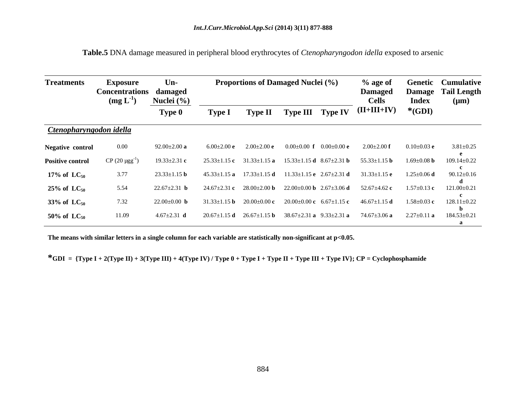| <b>Treatments</b>              | <b>Exposure</b><br>Concentrations damaged<br>$(mg L^{-1})$ | $Un-$<br>Nuclei (%) |                    |                 | <b>Proportions of Damaged Nuclei (%)</b>                                                            |                 | % age of<br><b>Damaged</b><br><b>Cells</b>             | <b>Index</b>                   | <b>Genetic Cumulative</b><br><b>Damage Tail Length</b><br>$(\mu m)$ |
|--------------------------------|------------------------------------------------------------|---------------------|--------------------|-----------------|-----------------------------------------------------------------------------------------------------|-----------------|--------------------------------------------------------|--------------------------------|---------------------------------------------------------------------|
|                                |                                                            | Type 0              | <b>Type I</b>      |                 |                                                                                                     |                 | Type II Type III Type IV $(II+III+IV)$ *(GDI)          |                                |                                                                     |
| <b>Ctenopharyngodon idella</b> |                                                            |                     |                    |                 |                                                                                                     |                 |                                                        |                                |                                                                     |
| <b>Negative control</b>        | $0.00\,$                                                   | 92.00 $\pm$ 2.00 a  | $6.00\pm2.00$ e    | $2.00\pm2.00$ e | $0.00 \pm 0.00$ f                                                                                   | $0.00\pm0.00$ e | $2.00 \pm 2.00$ f                                      | $0.10{\scriptstyle \pm0.03}$ e | $3.81 \pm 0.25$                                                     |
| <b>Positive control</b>        | CP (20 $\mu$ gg <sup>-1</sup> )                            | $19.33 \pm 2.31$ c  | $25.33 \pm 1.15$ c |                 | $31.33 \pm 1.15$ a $15.33 \pm 1.15$ d $8.67 \pm 2.31$ b                                             |                 | 55.33 $\pm$ 1.15 <b>b</b>                              | $1.69 \pm 0.08$ b              | $109.14 \pm 0.22$                                                   |
| 17% of $\text{LC}_{50}$        | 3.77                                                       | $23.33 \pm 1.15$ b  |                    |                 | $45.33\pm1.15$ a $17.33\pm1.15$ d $11.33\pm1.15$ e $2.67\pm2.31$ d $31.33\pm1.15$ e $1.25\pm0.06$ d |                 |                                                        |                                | $90.12 \pm 0.16$                                                    |
| $25\%$ of LC <sub>50</sub>     | 5.54                                                       |                     | $24.67 \pm 2.31$ c |                 | $28.00\pm2.00$ b $22.00\pm0.00$ b $2.67\pm3.06$ d                                                   |                 | 52.67 $\pm$ 4.62 c                                     | $1.57 \pm 0.13$ c              | $121.00 \pm 0.21$                                                   |
| 33% of $LC_{50}$               | 7.32                                                       | $22.00+0.00$        |                    |                 | $31.33\pm1.15$ b $20.00\pm0.00$ c $20.00\pm0.00$ c $6.67\pm1.15$ c                                  |                 | 46.67 $\pm$ 1.15 <b>d</b>                              | $1.58 + 0.03$ c                | $128.11 \pm 0.22$                                                   |
| 50% of $LC_{50}$               | 11.09                                                      |                     | $20.67 \pm 1.15$ d |                 | $26.67 \pm 1.15 \text{ b}$ $38.67 \pm 2.31 \text{ a}$ $9.33 \pm 2.31 \text{ a}$                     |                 | $74.67 \pm 3.06$ a $2.27 \pm 0.11$ a $184.53 \pm 0.21$ |                                |                                                                     |

**Table.5** DNA damage measured in peripheral blood erythrocytes of *Ctenopharyngodon idella* exposed to arsenic

**The means with similar letters in a single column for each variable are statistically non-significant at p<0.05.**

\*GDI =  $\{Type I + 2(Type II) + 3(Type III) + 4(Type IV) / Type 0 + Type II + Type III + Type III + Type IV\}; CP = Cyclophosphamide$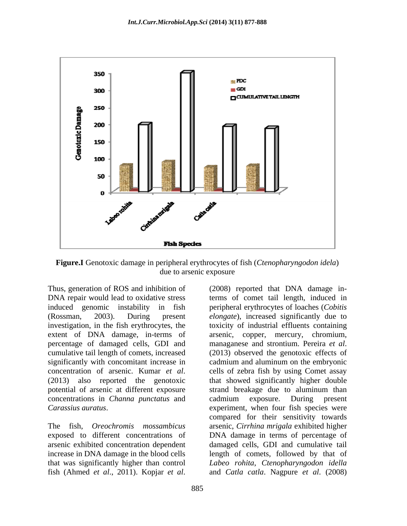

**Figure.I** Genotoxic damage in peripheral erythrocytes of fish (*Ctenopharyngodon idela*) due to arsenic exposure and the state of the state of the state of the state of the state of the state of the state of the state of the state of the state of the state of the state of the state of the state of the state of

Thus, generation of ROS and inhibition of (2008) reported that DNA damage in-DNA repair would lead to oxidative stress terms of comet tail length, induced in induced genomic instability in fish peripheral erythrocytes of loaches (*Cobitis*  (Rossman, 2003). During present *elongate*), increased significantly due to investigation, in the fish erythrocytes, the toxicity of industrial effluents containing extent of DNA damage, in-terms of arsenic, copper, mercury, chromium, percentage of damaged cells, GDI and managanese and strontium. Pereira et al. cumulative tail length of comets, increased (2013) observed the genotoxic effects of significantly with concomitant increase in cadmium and aluminum on the embryonic concentration of arsenic. Kumar *et al*. cells of zebra fish by using Comet assay (2013) also reported the genotoxic that showed significantly higher double potential of arsenic at different exposure strand breakage due to aluminum than concentrations in *Channa punctatus* and

*Carassius auratus.* experiment, when four fish species were<br>compared for their sensitivity towards<br>The fish, *Oreochromis mossambicus* arsenic, *Cirrhina mrigala* exhibited higher exposed to different concentrations of DNA damage in terms of percentage of arsenic exhibited concentration dependent damaged cells, GDI and cumulative tail increase in DNA damage in the blood cells length of comets, followed by that of that was significantly higher than control *Labeo rohita*, *Ctenopharyngodon idella* Thus, generation of ROS and inhibition of (2008) reported that DNA damage in-<br>
DNA repair would lead to oxidative stress terms of comet tail length, induced<br>
induced genomic instability in fish<br>
peripheral etyphrocytes of managanese and strontium. Pereira *et al*. (2013) observed the genotoxic effects of cells of zebra fish by using Comet assay that showed significantly higher double strand breakage due to aluminum than cadmium exposure. During present experiment, when four fish species were compared for their sensitivity towards arsenic, *Cirrhina mrigala* exhibited higher and *Catla catla*. Nagpure *et al*. (2008)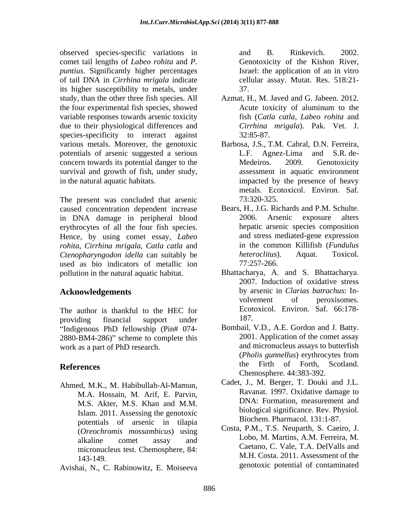observed species-specific variations in comet tail lengths of *Labeo rohita* and *P. puntius*. Significantly higher percentages of tail DNA in *Cirrhina mrigala* indicate its higher susceptibility to metals, under study, than the other three fish species. All the four experimental fish species, showed variable responses towards arsenic toxicity due to their physiological differences and species-specificity to interact against 32:85-87. various metals. Moreover, the genotoxic Barbosa, J.S., T.M. Cabral, D.N. Ferreira, potentials of arsenic suggested a serious concern towards its potential danger to the Medeiros. 2009. Genotoxicity survival and growth of fish, under study, in the natural aquatic habitats. impacted by the presence of heavy

The present was concluded that arsenic  $73:320-325$ . caused concentration dependent increase in DNA damage in peripheral blood erythrocytes of all the four fish species. Hence, by using comet essay, *Labeo rohita*, *Cirrhina mrigala*, *Catla catla* and *in the common Killifish (Fundulus Ctenopharyngodon idella can suitably be <i>heteroclitus*). Aquat. Toxicol. *Ctenopharyngodon idella* can suitably be used as bio indicators of metallic ion  $77:257-266$ .

providing financial support under 187. "Indigenous PhD fellowship (Pin# 074-2880-BM4-286)" scheme to complete this

Ahmed, M.K., M. Habibullah-Al-Mamun, M.A. Hossain, M. Arif, E. Parvin, M.S. Akter, M.S. Khan and M.M. Islam. 2011. Assessing the genotoxic potentials of arsenic in tilapia (*Oreochromis mossambicus*) using micronucleus test. Chemosphere, 84:

Avishai, N., C. Rabinowitz, E. Moiseeva

and B. Rinkevich. 2002. Genotoxicity of the Kishon River, Israel: the application of an in vitro cellular assay. Mutat. Res. 518:21- 37.

- Azmat, H., M. Javed and G. Jabeen. 2012. Acute toxicity of aluminum to the fish (*Catla catla, Labeo rohita* and *Cirrhina mrigala*). Pak. Vet. J. 32:85-87.
- Agnez-Lima and S.R. de-Medeiros. 2009. Genotoxicity assessment in aquatic environment metals. Ecotoxicol. Environ. Saf. 73:320-325.
- Bears, H., J.G. Richards and P.M. Schulte. 2006. Arsenic exposure alters hepatic arsenic species composition and stress mediated-gene expression in the common Killifish (*Fundulus heteroclitus*). Aquat. Toxicol. 77:257-266.
- pollution in the natural aquatic habitat.<br>Bhattacharya, A. and S. Bhattacharya.<br>2007. Induction of oxidative stress **Acknowledgements** by arsenic in *Clarias batrachus*: In- The author is thankful to the HEC for Ecotoxicol. Environ. Saf. 66:178-Bhattacharya, A. and S. Bhattacharya. 2007. Induction of oxidative stress volvement of peroxisomes. Ecotoxicol. Environ. Saf. 66:178- 187.
- work as a part of PhD research. and micronucleus assays to butterfish<br>(*Pholis gunnellus*) erythrocytes from **References** the Firth of Forth, Scotland. Bombail, V.D., A.E. Gordon and J. Batty. 2001. Application of the comet assay and micronucleus assays to butterfish (*Pholis gunnellus*) erythrocytes from the Firth of Forth, Scotland. Chemosphere. 44:383-392.
	- Cadet, J., M. Berger, T. Douki and J.L. Ravanat. 1997. Oxidative damage to DNA: Formation, measurement and biological significance. Rev. Physiol. Biochem. Pharmacol. 131:1-87.
	- alkaline comet assay and LODO, M. Martins, A.M. Ferreira, M. M.H. Costa. 2011. Assessment of the 143-149. Costa, P.M., T.S. Neuparth, S. Caeiro, J. Lobo, M. Martins, A.M. Ferreira, M. Caetano, C. Vale, T.A. DelValls and genotoxic potential of contaminated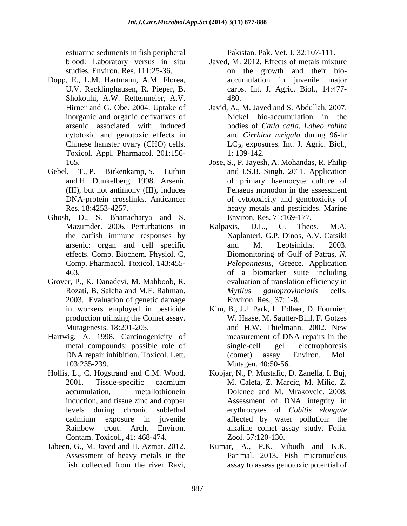estuarine sediments in fish peripheral

- Dopp, E., L.M. Hartmann, A.M. Florea, U.V. Recklinghausen, R. Pieper, B. Shokouhi, A.W. Rettenmeier, A.V. 480. inorganic and organic derivatives of Toxicol. Appl. Pharmacol. 201:156-
- 
- Ghosh, D., S. Bhattacharya and S.
- Grover, P., K. Danadevi, M. Mahboob, R. 2003. Evaluation of genetic damage
- Hartwig, A. 1998. Carcinogenicity of measurement of DNA repairs in the
- Hollis, L., C. Hogstrand and C.M. Wood. Kopjar, N., P. Mustafic, D. Zanella, I. Buj, Contam. Toxicol., 41: 468-474.
- Jabeen, G., M. Javed and H. Azmat. 2012. Kumar, A., P.K. Vibudh and K.K.

Pakistan. Pak. Vet. J. 32:107-111.

- blood: Laboratory versus in situ Javed, M. 2012. Effects of metals mixture studies. Environ. Res. 111:25-36. on the growth and their bio accumulation in juvenile major carps. Int. J. Agric. Biol., 14:477- 480.
- Hirner and G. Obe. 2004. Uptake of Javid, A., M. Javed and S. Abdullah. 2007. arsenic associated with induced bodies of *Catla catla, Labeo rohita* cytotoxic and genotoxic effects in and *Cirrhina mrigala* during 96-hr Chinese hamster ovary (CHO) cells.  $LC_{50}$  exposures. Int. J. Agric. Biol., Nickel bio-accumulation in the 1: 139-142.
- 165. Jose, S., P. Jayesh, A. Mohandas, R. Philip Gebel, T., P. Birkenkamp, S. Luthin and I.S.B. Singh. 2011. Application and H. Dunkelberg. 1998. Arsenic of primary haemocyte culture of (III), but not antimony (III), induces Penaeus monodon in the assessment DNA-protein crosslinks. Anticancer of cytotoxicity and genotoxicity of Res. 18:4253-4257. heavy metals and pesticides. Marine Environ. Res. 71:169-177.
	- Mazumder. 2006. Perturbations in Kalpaxis, D.L., C. Theos, M.A. the catfish immune responses by Xaplanteri, G.P. Dinos, A.V. Catsiki arsenic: organ and cell specific and M. Leotsinidis. 2003. effects. Comp. Biochem. Physiol. C, Biomonitoring of Gulf of Patras, *N.*  Comp. Pharmacol. Toxicol. 143:455- *Peloponnesus*, Greece. Application 463. of a biomarker suite including Rozati, B. Saleha and M.F. Rahman. Mytilus galloprovincialis cells. Kalpaxis, D.L., C. Theos, M.A. and M. Leotsinidis. 2003. evaluation of translation efficiency in *Mytilus galloprovincialis* cells. Environ. Res., 37: 1-8.
	- in workers employed in pesticide Kim, B., J.J. Park, L. Edlaer, D. Fournier, production utilizing the Comet assay. W. Haase, M. Sautter-Bihl, F. Gotzes Mutagenesis. 18:201-205. **and H.W. Thielmann. 2002.** New metal compounds: possible role of single-cell gel electrophoresis DNA repair inhibition. Toxicol. Lett. 103:235-239. Mutagen. 40:50-56. and H.W. Thielmann. 2002. New measurement of DNA repairs in the single-cell gel electrophoresis (comet) assay. Environ. Mol.
	- 2001. Tissue-specific cadmium M. Caleta, Z. Marcic, M. Milic, Z. accumulation, metallothionein Dolenec and M. Mrakovcic. 2008. induction, and tissue zinc and copper **Assessment** of DNA integrity in levels during chronic sublethal erythrocytes of *Cobitis elongate* cadmium exposure in juvenile Rainbow trout. Arch. Environ. alkaline comet assay study. Folia. Assessment of DNA integrity in affected by water pollution: the Zool. 57:120-130.
	- Assessment of heavy metals in the Parimal. 2013. Fish micronucleus fish collected from the river Ravi, assay to assess genotoxic potential of assay to assess genotoxic potential of